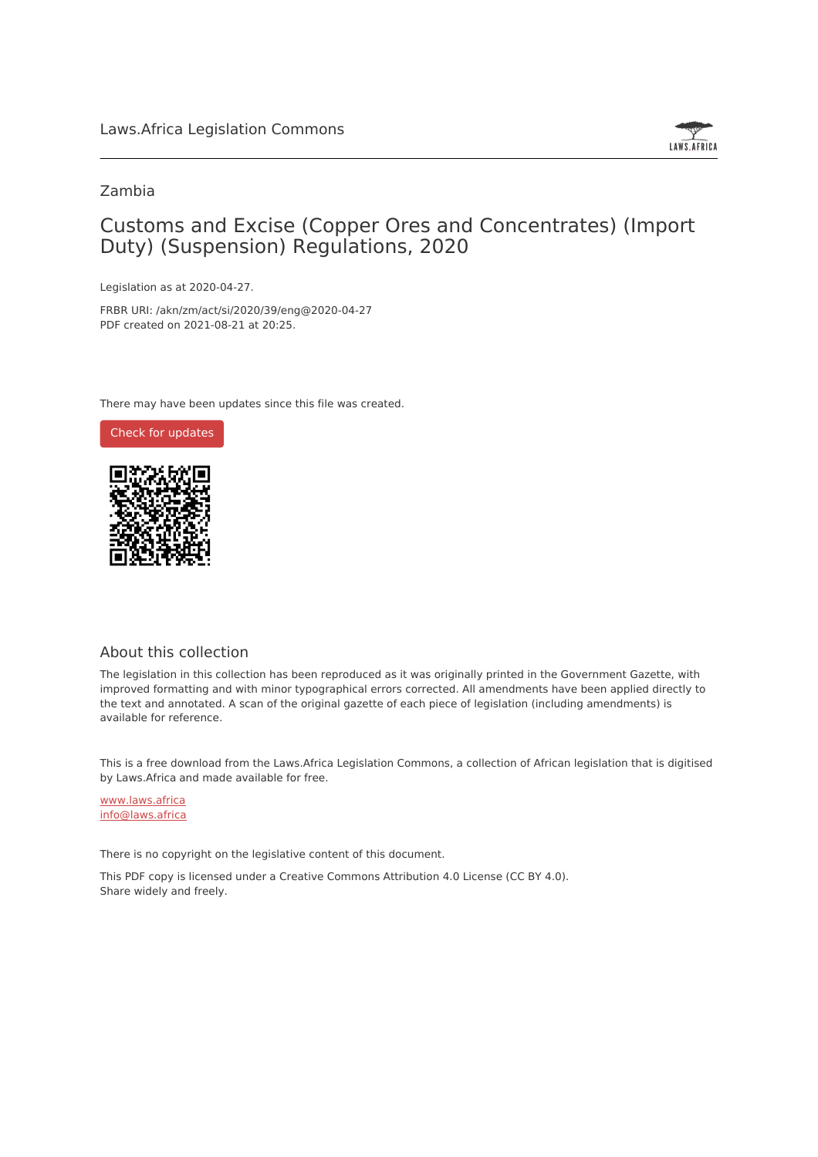

## Zambia

# Customs and Excise (Copper Ores and Concentrates) (Import Duty) (Suspension) Regulations, 2020

Legislation as at 2020-04-27.

FRBR URI: /akn/zm/act/si/2020/39/eng@2020-04-27 PDF created on 2021-08-21 at 20:25.

There may have been updates since this file was created.



### About this collection

The legislation in this collection has been reproduced as it was originally printed in the Government Gazette, with improved formatting and with minor typographical errors corrected. All amendments have been applied directly to the text and annotated. A scan of the original gazette of each piece of legislation (including amendments) is available for reference.

This is a free download from the Laws.Africa Legislation Commons, a collection of African legislation that is digitised by Laws.Africa and made available for free.

[www.laws.africa](https://www.laws.africa) [info@laws.africa](mailto:info@laws.africa)

There is no copyright on the legislative content of this document.

This PDF copy is licensed under a Creative Commons Attribution 4.0 License (CC BY 4.0). Share widely and freely.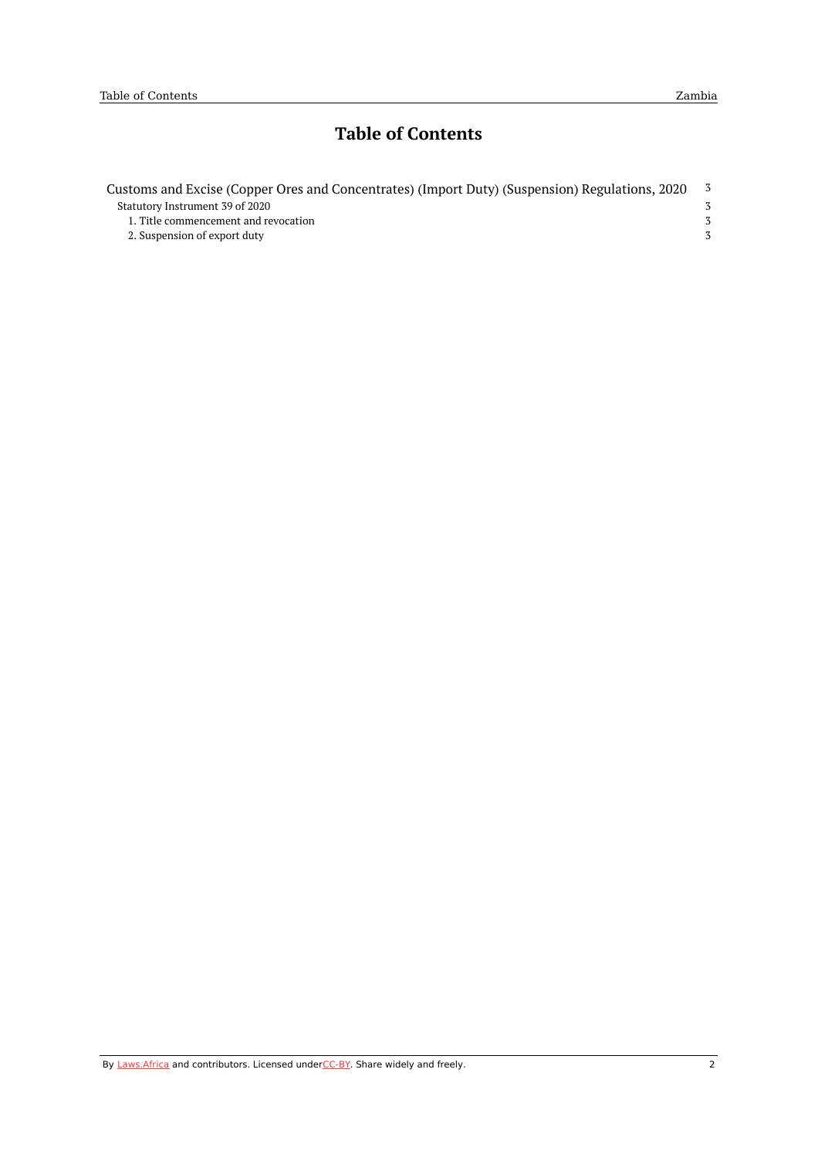# **Table of Contents**